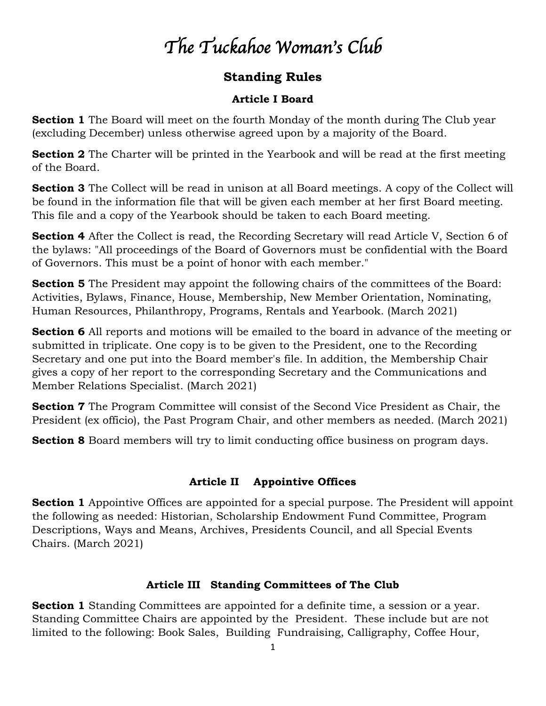# *The Tuckahoe Woman's Club*

# **Standing Rules**

#### **Article I Board**

**Section 1** The Board will meet on the fourth Monday of the month during The Club year (excluding December) unless otherwise agreed upon by a majority of the Board.

**Section 2** The Charter will be printed in the Yearbook and will be read at the first meeting of the Board.

**Section 3** The Collect will be read in unison at all Board meetings. A copy of the Collect will be found in the information file that will be given each member at her first Board meeting. This file and a copy of the Yearbook should be taken to each Board meeting.

**Section 4** After the Collect is read, the Recording Secretary will read Article V, Section 6 of the bylaws: "All proceedings of the Board of Governors must be confidential with the Board of Governors. This must be a point of honor with each member."

**Section 5** The President may appoint the following chairs of the committees of the Board: Activities, Bylaws, Finance, House, Membership, New Member Orientation, Nominating, Human Resources, Philanthropy, Programs, Rentals and Yearbook. (March 2021)

**Section 6** All reports and motions will be emailed to the board in advance of the meeting or submitted in triplicate. One copy is to be given to the President, one to the Recording Secretary and one put into the Board member's file. In addition, the Membership Chair gives a copy of her report to the corresponding Secretary and the Communications and Member Relations Specialist. (March 2021)

**Section 7** The Program Committee will consist of the Second Vice President as Chair, the President (ex officio), the Past Program Chair, and other members as needed. (March 2021)

**Section 8** Board members will try to limit conducting office business on program days.

#### **Article II Appointive Offices**

**Section 1** Appointive Offices are appointed for a special purpose. The President will appoint the following as needed: Historian, Scholarship Endowment Fund Committee, Program Descriptions, Ways and Means, Archives, Presidents Council, and all Special Events Chairs. (March 2021)

#### **Article III Standing Committees of The Club**

**Section 1** Standing Committees are appointed for a definite time, a session or a year. Standing Committee Chairs are appointed by the President. These include but are not limited to the following: Book Sales, Building Fundraising, Calligraphy, Coffee Hour,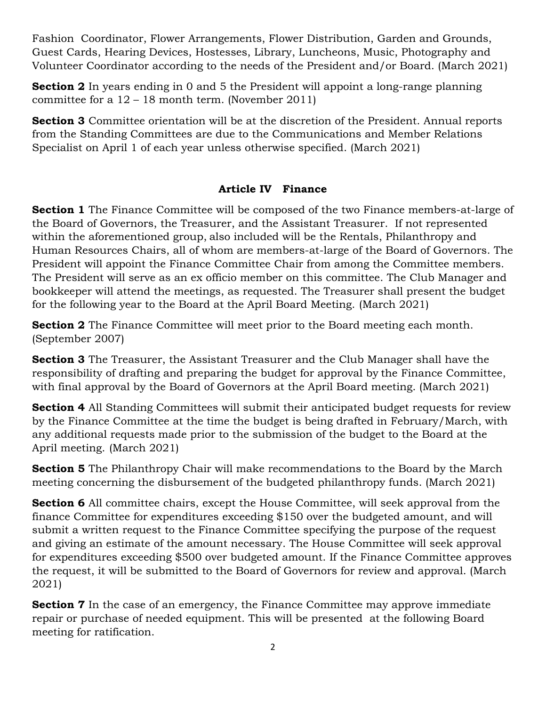Fashion Coordinator, Flower Arrangements, Flower Distribution, Garden and Grounds, Guest Cards, Hearing Devices, Hostesses, Library, Luncheons, Music, Photography and Volunteer Coordinator according to the needs of the President and/or Board. (March 2021)

**Section 2** In years ending in 0 and 5 the President will appoint a long-range planning committee for a  $12 - 18$  month term. (November 2011)

**Section 3** Committee orientation will be at the discretion of the President. Annual reports from the Standing Committees are due to the Communications and Member Relations Specialist on April 1 of each year unless otherwise specified. (March 2021)

#### **Article IV Finance**

**Section 1** The Finance Committee will be composed of the two Finance members-at-large of the Board of Governors, the Treasurer, and the Assistant Treasurer. If not represented within the aforementioned group, also included will be the Rentals, Philanthropy and Human Resources Chairs, all of whom are members-at-large of the Board of Governors. The President will appoint the Finance Committee Chair from among the Committee members. The President will serve as an ex officio member on this committee. The Club Manager and bookkeeper will attend the meetings, as requested. The Treasurer shall present the budget for the following year to the Board at the April Board Meeting. (March 2021)

**Section 2** The Finance Committee will meet prior to the Board meeting each month. (September 2007)

**Section 3** The Treasurer, the Assistant Treasurer and the Club Manager shall have the responsibility of drafting and preparing the budget for approval by the Finance Committee, with final approval by the Board of Governors at the April Board meeting. (March 2021)

**Section 4** All Standing Committees will submit their anticipated budget requests for review by the Finance Committee at the time the budget is being drafted in February/March, with any additional requests made prior to the submission of the budget to the Board at the April meeting. (March 2021)

**Section 5** The Philanthropy Chair will make recommendations to the Board by the March meeting concerning the disbursement of the budgeted philanthropy funds. (March 2021)

**Section 6** All committee chairs, except the House Committee, will seek approval from the finance Committee for expenditures exceeding \$150 over the budgeted amount, and will submit a written request to the Finance Committee specifying the purpose of the request and giving an estimate of the amount necessary. The House Committee will seek approval for expenditures exceeding \$500 over budgeted amount. If the Finance Committee approves the request, it will be submitted to the Board of Governors for review and approval. (March 2021)

**Section 7** In the case of an emergency, the Finance Committee may approve immediate repair or purchase of needed equipment. This will be presented at the following Board meeting for ratification.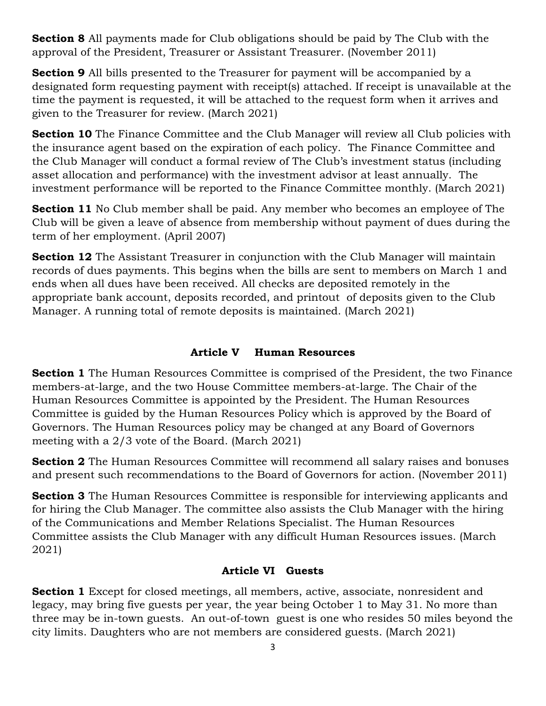**Section 8** All payments made for Club obligations should be paid by The Club with the approval of the President, Treasurer or Assistant Treasurer. (November 2011)

**Section 9** All bills presented to the Treasurer for payment will be accompanied by a designated form requesting payment with receipt(s) attached. If receipt is unavailable at the time the payment is requested, it will be attached to the request form when it arrives and given to the Treasurer for review. (March 2021)

**Section 10** The Finance Committee and the Club Manager will review all Club policies with the insurance agent based on the expiration of each policy. The Finance Committee and the Club Manager will conduct a formal review of The Club's investment status (including asset allocation and performance) with the investment advisor at least annually. The investment performance will be reported to the Finance Committee monthly. (March 2021)

**Section 11** No Club member shall be paid. Any member who becomes an employee of The Club will be given a leave of absence from membership without payment of dues during the term of her employment. (April 2007)

**Section 12** The Assistant Treasurer in conjunction with the Club Manager will maintain records of dues payments. This begins when the bills are sent to members on March 1 and ends when all dues have been received. All checks are deposited remotely in the appropriate bank account, deposits recorded, and printout of deposits given to the Club Manager. A running total of remote deposits is maintained. (March 2021)

#### **Article V Human Resources**

**Section 1** The Human Resources Committee is comprised of the President, the two Finance members-at-large, and the two House Committee members-at-large. The Chair of the Human Resources Committee is appointed by the President. The Human Resources Committee is guided by the Human Resources Policy which is approved by the Board of Governors. The Human Resources policy may be changed at any Board of Governors meeting with a 2/3 vote of the Board. (March 2021)

**Section 2** The Human Resources Committee will recommend all salary raises and bonuses and present such recommendations to the Board of Governors for action. (November 2011)

**Section 3** The Human Resources Committee is responsible for interviewing applicants and for hiring the Club Manager. The committee also assists the Club Manager with the hiring of the Communications and Member Relations Specialist. The Human Resources Committee assists the Club Manager with any difficult Human Resources issues. (March 2021)

#### **Article VI Guests**

**Section 1** Except for closed meetings, all members, active, associate, nonresident and legacy, may bring five guests per year, the year being October 1 to May 31. No more than three may be in-town guests. An out-of-town guest is one who resides 50 miles beyond the city limits. Daughters who are not members are considered guests. (March 2021)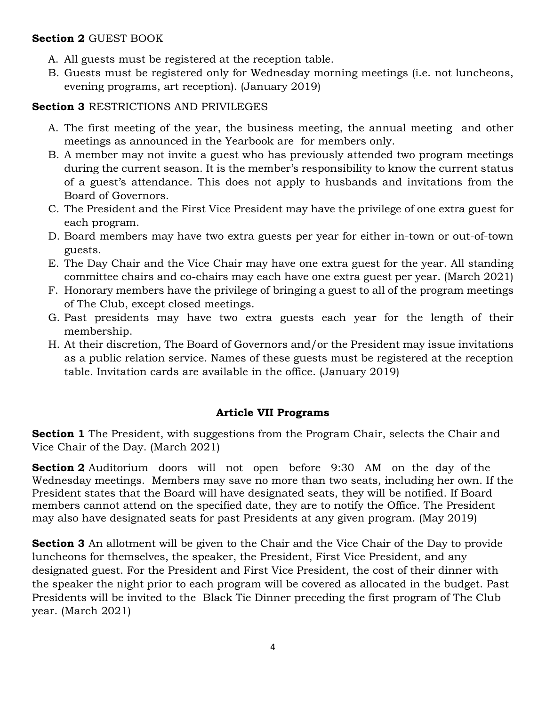#### **Section 2** GUEST BOOK

- A. All guests must be registered at the reception table.
- B. Guests must be registered only for Wednesday morning meetings (i.e. not luncheons, evening programs, art reception). (January 2019)

#### **Section 3** RESTRICTIONS AND PRIVILEGES

- A. The first meeting of the year, the business meeting, the annual meeting and other meetings as announced in the Yearbook are for members only.
- B. A member may not invite a guest who has previously attended two program meetings during the current season. It is the member's responsibility to know the current status of a guest's attendance. This does not apply to husbands and invitations from the Board of Governors.
- C. The President and the First Vice President may have the privilege of one extra guest for each program.
- D. Board members may have two extra guests per year for either in-town or out-of-town guests.
- E. The Day Chair and the Vice Chair may have one extra guest for the year. All standing committee chairs and co-chairs may each have one extra guest per year. (March 2021)
- F. Honorary members have the privilege of bringing a guest to all of the program meetings of The Club, except closed meetings.
- G. Past presidents may have two extra guests each year for the length of their membership.
- H. At their discretion, The Board of Governors and/or the President may issue invitations as a public relation service. Names of these guests must be registered at the reception table. Invitation cards are available in the office. (January 2019)

#### **Article VII Programs**

**Section 1** The President, with suggestions from the Program Chair, selects the Chair and Vice Chair of the Day. (March 2021)

**Section 2** Auditorium doors will not open before 9:30 AM on the day of the Wednesday meetings. Members may save no more than two seats, including her own. If the President states that the Board will have designated seats, they will be notified. If Board members cannot attend on the specified date, they are to notify the Office. The President may also have designated seats for past Presidents at any given program. (May 2019)

**Section 3** An allotment will be given to the Chair and the Vice Chair of the Day to provide luncheons for themselves, the speaker, the President, First Vice President, and any designated guest. For the President and First Vice President, the cost of their dinner with the speaker the night prior to each program will be covered as allocated in the budget. Past Presidents will be invited to the Black Tie Dinner preceding the first program of The Club year. (March 2021)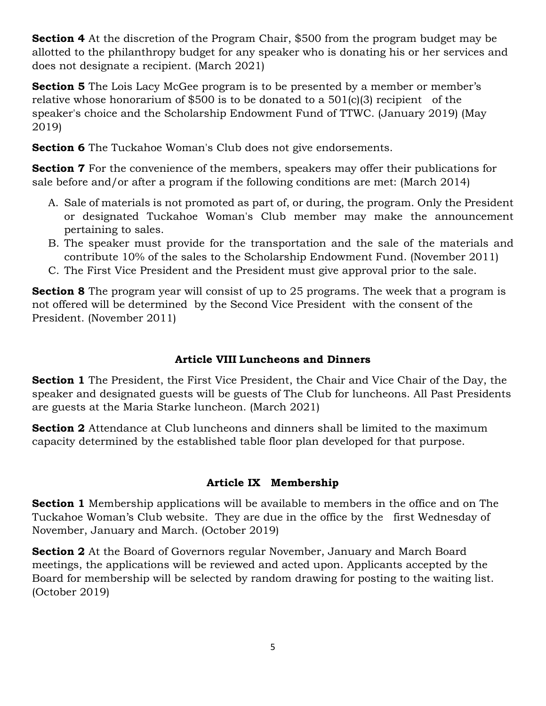**Section 4** At the discretion of the Program Chair, \$500 from the program budget may be allotted to the philanthropy budget for any speaker who is donating his or her services and does not designate a recipient. (March 2021)

**Section 5** The Lois Lacy McGee program is to be presented by a member or member's relative whose honorarium of \$500 is to be donated to a 501(c)(3) recipient of the speaker's choice and the Scholarship Endowment Fund of TTWC. (January 2019) (May 2019)

**Section 6** The Tuckahoe Woman's Club does not give endorsements.

**Section 7** For the convenience of the members, speakers may offer their publications for sale before and/or after a program if the following conditions are met: (March 2014)

- A. Sale of materials is not promoted as part of, or during, the program. Only the President or designated Tuckahoe Woman's Club member may make the announcement pertaining to sales.
- B. The speaker must provide for the transportation and the sale of the materials and contribute 10% of the sales to the Scholarship Endowment Fund. (November 2011)
- C. The First Vice President and the President must give approval prior to the sale.

**Section 8** The program year will consist of up to 25 programs. The week that a program is not offered will be determined by the Second Vice President with the consent of the President. (November 2011)

## **Article VIII Luncheons and Dinners**

**Section 1** The President, the First Vice President, the Chair and Vice Chair of the Day, the speaker and designated guests will be guests of The Club for luncheons. All Past Presidents are guests at the Maria Starke luncheon. (March 2021)

**Section 2** Attendance at Club luncheons and dinners shall be limited to the maximum capacity determined by the established table floor plan developed for that purpose.

#### **Article IX Membership**

**Section 1** Membership applications will be available to members in the office and on The Tuckahoe Woman's Club website. They are due in the office by the first Wednesday of November, January and March. (October 2019)

**Section 2** At the Board of Governors regular November, January and March Board meetings, the applications will be reviewed and acted upon. Applicants accepted by the Board for membership will be selected by random drawing for posting to the waiting list. (October 2019)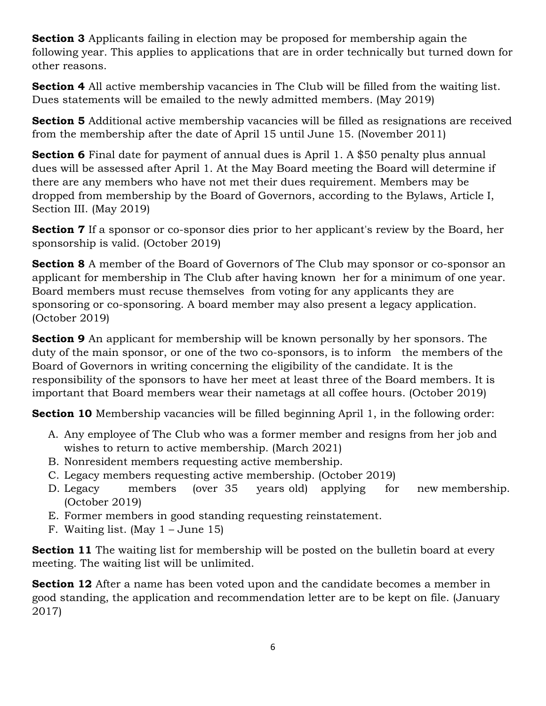**Section 3** Applicants failing in election may be proposed for membership again the following year. This applies to applications that are in order technically but turned down for other reasons.

**Section 4** All active membership vacancies in The Club will be filled from the waiting list. Dues statements will be emailed to the newly admitted members. (May 2019)

**Section 5** Additional active membership vacancies will be filled as resignations are received from the membership after the date of April 15 until June 15. (November 2011)

**Section 6** Final date for payment of annual dues is April 1. A \$50 penalty plus annual dues will be assessed after April 1. At the May Board meeting the Board will determine if there are any members who have not met their dues requirement. Members may be dropped from membership by the Board of Governors, according to the Bylaws, Article I, Section III. (May 2019)

**Section 7** If a sponsor or co-sponsor dies prior to her applicant's review by the Board, her sponsorship is valid. (October 2019)

**Section 8** A member of the Board of Governors of The Club may sponsor or co-sponsor an applicant for membership in The Club after having known her for a minimum of one year. Board members must recuse themselves from voting for any applicants they are sponsoring or co-sponsoring. A board member may also present a legacy application. (October 2019)

**Section 9** An applicant for membership will be known personally by her sponsors. The duty of the main sponsor, or one of the two co-sponsors, is to inform the members of the Board of Governors in writing concerning the eligibility of the candidate. It is the responsibility of the sponsors to have her meet at least three of the Board members. It is important that Board members wear their nametags at all coffee hours. (October 2019)

**Section 10** Membership vacancies will be filled beginning April 1, in the following order:

- A. Any employee of The Club who was a former member and resigns from her job and wishes to return to active membership. (March 2021)
- B. Nonresident members requesting active membership.
- C. Legacy members requesting active membership. (October 2019)
- D. Legacy members (over 35 years old) applying for new membership. (October 2019)
- E. Former members in good standing requesting reinstatement.
- F. Waiting list. (May  $1 -$  June 15)

**Section 11** The waiting list for membership will be posted on the bulletin board at every meeting. The waiting list will be unlimited.

**Section 12** After a name has been voted upon and the candidate becomes a member in good standing, the application and recommendation letter are to be kept on file. (January 2017)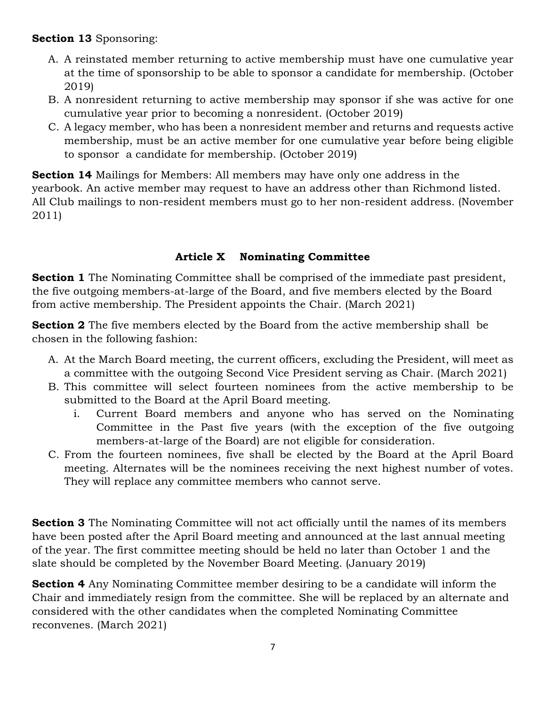#### **Section 13** Sponsoring:

- A. A reinstated member returning to active membership must have one cumulative year at the time of sponsorship to be able to sponsor a candidate for membership. (October 2019)
- B. A nonresident returning to active membership may sponsor if she was active for one cumulative year prior to becoming a nonresident. (October 2019)
- C. A legacy member, who has been a nonresident member and returns and requests active membership, must be an active member for one cumulative year before being eligible to sponsor a candidate for membership. (October 2019)

**Section 14** Mailings for Members: All members may have only one address in the yearbook. An active member may request to have an address other than Richmond listed. All Club mailings to non-resident members must go to her non-resident address. (November 2011)

# **Article X Nominating Committee**

**Section 1** The Nominating Committee shall be comprised of the immediate past president, the five outgoing members-at-large of the Board, and five members elected by the Board from active membership. The President appoints the Chair. (March 2021)

**Section 2** The five members elected by the Board from the active membership shall be chosen in the following fashion:

- A. At the March Board meeting, the current officers, excluding the President, will meet as a committee with the outgoing Second Vice President serving as Chair. (March 2021)
- B. This committee will select fourteen nominees from the active membership to be submitted to the Board at the April Board meeting.
	- i. Current Board members and anyone who has served on the Nominating Committee in the Past five years (with the exception of the five outgoing members-at-large of the Board) are not eligible for consideration.
- C. From the fourteen nominees, five shall be elected by the Board at the April Board meeting. Alternates will be the nominees receiving the next highest number of votes. They will replace any committee members who cannot serve.

**Section 3** The Nominating Committee will not act officially until the names of its members have been posted after the April Board meeting and announced at the last annual meeting of the year. The first committee meeting should be held no later than October 1 and the slate should be completed by the November Board Meeting. (January 2019)

**Section 4** Any Nominating Committee member desiring to be a candidate will inform the Chair and immediately resign from the committee. She will be replaced by an alternate and considered with the other candidates when the completed Nominating Committee reconvenes. (March 2021)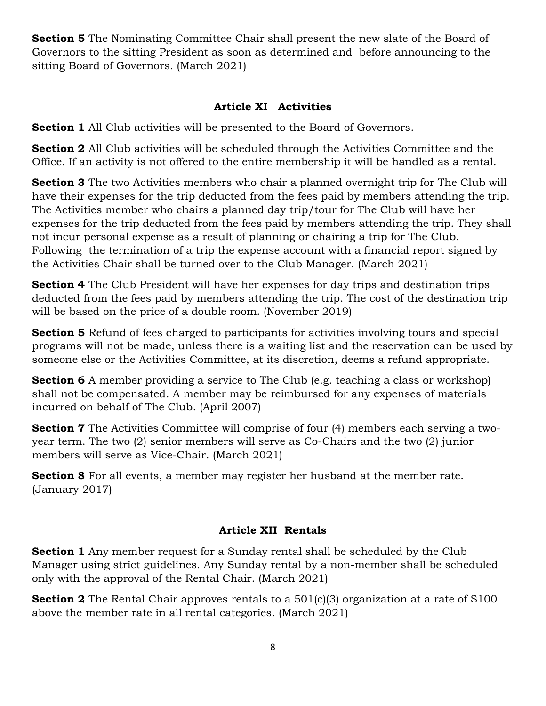**Section 5** The Nominating Committee Chair shall present the new slate of the Board of Governors to the sitting President as soon as determined and before announcing to the sitting Board of Governors. (March 2021)

#### **Article XI Activities**

**Section 1** All Club activities will be presented to the Board of Governors.

**Section 2** All Club activities will be scheduled through the Activities Committee and the Office. If an activity is not offered to the entire membership it will be handled as a rental.

**Section 3** The two Activities members who chair a planned overnight trip for The Club will have their expenses for the trip deducted from the fees paid by members attending the trip. The Activities member who chairs a planned day trip/tour for The Club will have her expenses for the trip deducted from the fees paid by members attending the trip. They shall not incur personal expense as a result of planning or chairing a trip for The Club. Following the termination of a trip the expense account with a financial report signed by the Activities Chair shall be turned over to the Club Manager. (March 2021)

**Section 4** The Club President will have her expenses for day trips and destination trips deducted from the fees paid by members attending the trip. The cost of the destination trip will be based on the price of a double room. (November 2019)

**Section 5** Refund of fees charged to participants for activities involving tours and special programs will not be made, unless there is a waiting list and the reservation can be used by someone else or the Activities Committee, at its discretion, deems a refund appropriate.

**Section 6** A member providing a service to The Club (e.g. teaching a class or workshop) shall not be compensated. A member may be reimbursed for any expenses of materials incurred on behalf of The Club. (April 2007)

**Section 7** The Activities Committee will comprise of four (4) members each serving a twoyear term. The two (2) senior members will serve as Co-Chairs and the two (2) junior members will serve as Vice-Chair. (March 2021)

**Section 8** For all events, a member may register her husband at the member rate. (January 2017)

#### **Article XII Rentals**

**Section 1** Any member request for a Sunday rental shall be scheduled by the Club Manager using strict guidelines. Any Sunday rental by a non-member shall be scheduled only with the approval of the Rental Chair. (March 2021)

**Section 2** The Rental Chair approves rentals to a 501(c)(3) organization at a rate of \$100 above the member rate in all rental categories. (March 2021)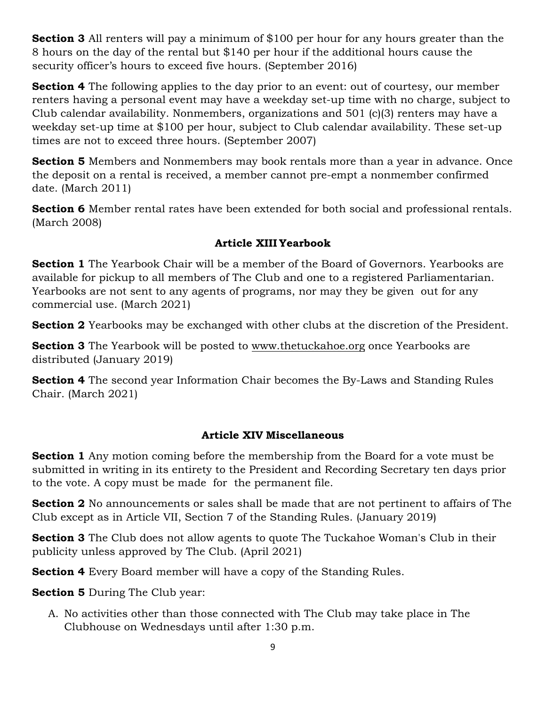**Section 3** All renters will pay a minimum of \$100 per hour for any hours greater than the 8 hours on the day of the rental but \$140 per hour if the additional hours cause the security officer's hours to exceed five hours. (September 2016)

**Section 4** The following applies to the day prior to an event: out of courtesy, our member renters having a personal event may have a weekday set-up time with no charge, subject to Club calendar availability. Nonmembers, organizations and 501 (c)(3) renters may have a weekday set-up time at \$100 per hour, subject to Club calendar availability. These set-up times are not to exceed three hours. (September 2007)

**Section 5** Members and Nonmembers may book rentals more than a year in advance. Once the deposit on a rental is received, a member cannot pre-empt a nonmember confirmed date. (March 2011)

**Section 6** Member rental rates have been extended for both social and professional rentals. (March 2008)

### **Article XIII Yearbook**

**Section 1** The Yearbook Chair will be a member of the Board of Governors. Yearbooks are available for pickup to all members of The Club and one to a registered Parliamentarian. Yearbooks are not sent to any agents of programs, nor may they be given out for any commercial use. (March 2021)

**Section 2** Yearbooks may be exchanged with other clubs at the discretion of the President.

**Section 3** The Yearbook will be posted to [www.thetuckahoe.org](http://www.thetuckahoe.org/) once Yearbooks are distributed (January 2019)

**Section 4** The second year Information Chair becomes the By-Laws and Standing Rules Chair. (March 2021)

# **Article XIV Miscellaneous**

**Section 1** Any motion coming before the membership from the Board for a vote must be submitted in writing in its entirety to the President and Recording Secretary ten days prior to the vote. A copy must be made for the permanent file.

**Section 2** No announcements or sales shall be made that are not pertinent to affairs of The Club except as in Article VII, Section 7 of the Standing Rules. (January 2019)

**Section 3** The Club does not allow agents to quote The Tuckahoe Woman's Club in their publicity unless approved by The Club. (April 2021)

**Section 4** Every Board member will have a copy of the Standing Rules.

**Section 5** During The Club year:

A. No activities other than those connected with The Club may take place in The Clubhouse on Wednesdays until after 1:30 p.m.